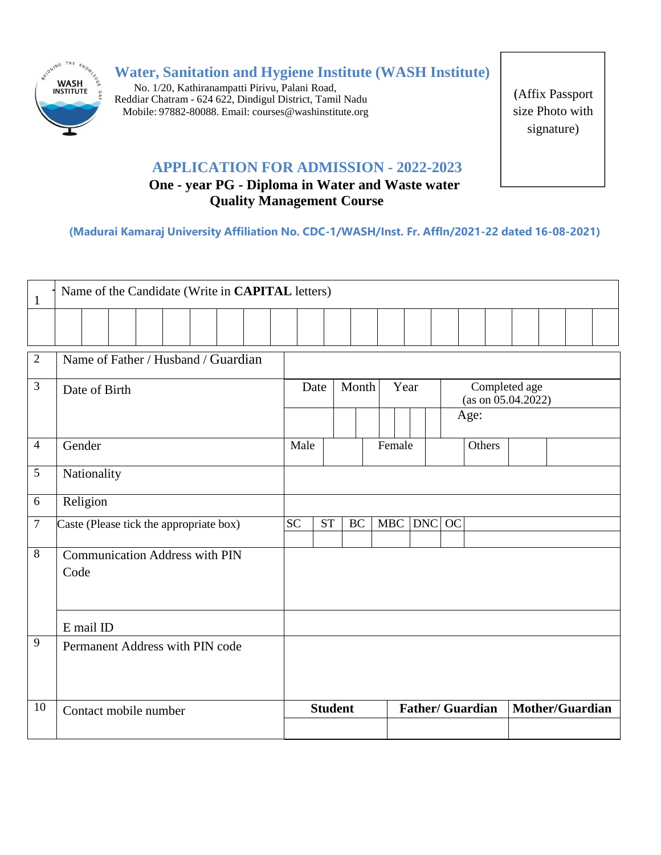

**Water, Sanitation and Hygiene Institute (WASH Institute)**

No. 1/20, Kathiranampatti Pirivu, Palani Road, Reddiar Chatram - 624 622, Dindigul District, Tamil Nadu Mobile: 97882-80088. Email: [courses@washinstitute.org](mailto:courses@washinstitute.org)

(Affix Passport size Photo with signature)

## **APPLICATION FOR ADMISSION - 2022-2023**

# **One - year PG - Diploma in Water and Waste water Quality Management Course**

**(Madurai Kamaraj University Affiliation No. CDC-1/WASH/Inst. Fr. Affln/2021-22 dated 16-08-2021)**

| $\mathbf{1}$   | Name of the Candidate (Write in CAPITAL letters) |             |  |                                       |  |  |                 |      |           |                         |        |         |                                             |                 |  |  |  |  |  |  |  |
|----------------|--------------------------------------------------|-------------|--|---------------------------------------|--|--|-----------------|------|-----------|-------------------------|--------|---------|---------------------------------------------|-----------------|--|--|--|--|--|--|--|
|                |                                                  |             |  |                                       |  |  |                 |      |           |                         |        |         |                                             |                 |  |  |  |  |  |  |  |
| $\overline{2}$ | Name of Father / Husband / Guardian              |             |  |                                       |  |  |                 |      |           |                         |        |         |                                             |                 |  |  |  |  |  |  |  |
| 3              | Date of Birth                                    |             |  |                                       |  |  |                 | Date | Month     |                         | Year   |         | Completed age<br>(as on 05.04.2022)<br>Age: |                 |  |  |  |  |  |  |  |
|                |                                                  |             |  |                                       |  |  |                 |      |           |                         |        |         |                                             |                 |  |  |  |  |  |  |  |
| $\overline{4}$ | Gender                                           |             |  |                                       |  |  | Male            |      |           |                         | Female |         |                                             | Others          |  |  |  |  |  |  |  |
| 5              |                                                  | Nationality |  |                                       |  |  |                 |      |           |                         |        |         |                                             |                 |  |  |  |  |  |  |  |
| 6              |                                                  | Religion    |  |                                       |  |  |                 |      |           |                         |        |         |                                             |                 |  |  |  |  |  |  |  |
| $\tau$         | Caste (Please tick the appropriate box)          |             |  |                                       |  |  | $\overline{SC}$ | ST   | <b>BC</b> |                         |        | MBC DNC | OC                                          |                 |  |  |  |  |  |  |  |
| 8              | Code                                             |             |  | <b>Communication Address with PIN</b> |  |  |                 |      |           |                         |        |         |                                             |                 |  |  |  |  |  |  |  |
|                | E mail ID                                        |             |  |                                       |  |  |                 |      |           |                         |        |         |                                             |                 |  |  |  |  |  |  |  |
| 9              |                                                  |             |  | Permanent Address with PIN code       |  |  |                 |      |           |                         |        |         |                                             |                 |  |  |  |  |  |  |  |
| 10             | Contact mobile number                            |             |  |                                       |  |  | <b>Student</b>  |      |           | <b>Father/ Guardian</b> |        |         |                                             | Mother/Guardian |  |  |  |  |  |  |  |